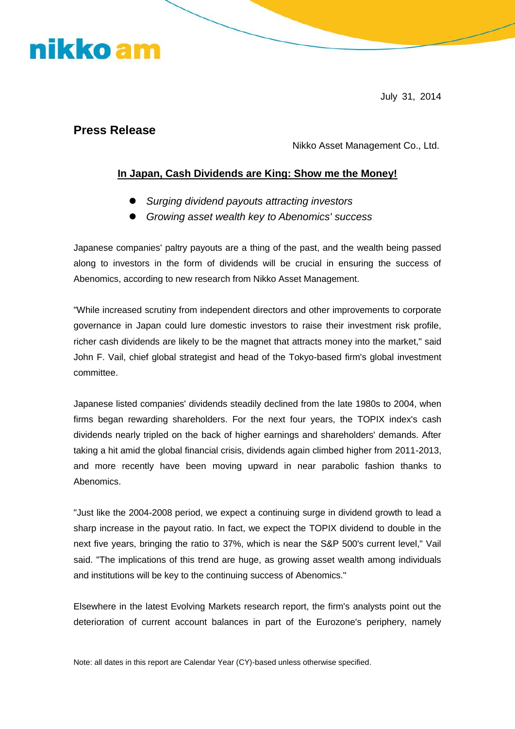## nikko am

July 31, 2014

#### **Press Release**

Nikko Asset Management Co., Ltd.

#### **In Japan, Cash Dividends are King: Show me the Money!**

- *Surging dividend payouts attracting investors*
- *Growing asset wealth key to Abenomics' success*

Japanese companies' paltry payouts are a thing of the past, and the wealth being passed along to investors in the form of dividends will be crucial in ensuring the success of Abenomics, according to new research from Nikko Asset Management.

"While increased scrutiny from independent directors and other improvements to corporate governance in Japan could lure domestic investors to raise their investment risk profile, richer cash dividends are likely to be the magnet that attracts money into the market," said John F. Vail, chief global strategist and head of the Tokyo-based firm's global investment committee.

Japanese listed companies' dividends steadily declined from the late 1980s to 2004, when firms began rewarding shareholders. For the next four years, the TOPIX index's cash dividends nearly tripled on the back of higher earnings and shareholders' demands. After taking a hit amid the global financial crisis, dividends again climbed higher from 2011-2013, and more recently have been moving upward in near parabolic fashion thanks to **Abenomics** 

"Just like the 2004-2008 period, we expect a continuing surge in dividend growth to lead a sharp increase in the payout ratio. In fact, we expect the TOPIX dividend to double in the next five years, bringing the ratio to 37%, which is near the S&P 500's current level," Vail said. "The implications of this trend are huge, as growing asset wealth among individuals and institutions will be key to the continuing success of Abenomics."

Elsewhere in the latest Evolving Markets research report, the firm's analysts point out the deterioration of current account balances in part of the Eurozone's periphery, namely

Note: all dates in this report are Calendar Year (CY)-based unless otherwise specified.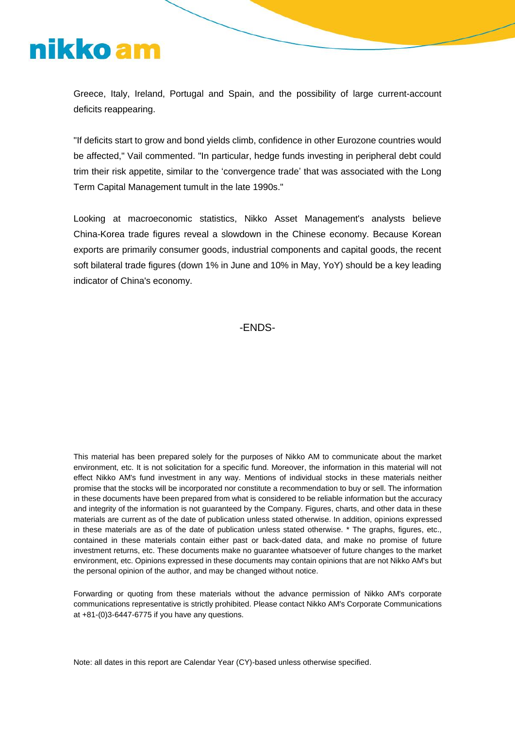# nikko am

Greece, Italy, Ireland, Portugal and Spain, and the possibility of large current-account deficits reappearing.

"If deficits start to grow and bond yields climb, confidence in other Eurozone countries would be affected," Vail commented. "In particular, hedge funds investing in peripheral debt could trim their risk appetite, similar to the 'convergence trade' that was associated with the Long Term Capital Management tumult in the late 1990s."

Looking at macroeconomic statistics, Nikko Asset Management's analysts believe China-Korea trade figures reveal a slowdown in the Chinese economy. Because Korean exports are primarily consumer goods, industrial components and capital goods, the recent soft bilateral trade figures (down 1% in June and 10% in May, YoY) should be a key leading indicator of China's economy.

-ENDS-

This material has been prepared solely for the purposes of Nikko AM to communicate about the market environment, etc. It is not solicitation for a specific fund. Moreover, the information in this material will not effect Nikko AM's fund investment in any way. Mentions of individual stocks in these materials neither promise that the stocks will be incorporated nor constitute a recommendation to buy or sell. The information in these documents have been prepared from what is considered to be reliable information but the accuracy and integrity of the information is not guaranteed by the Company. Figures, charts, and other data in these materials are current as of the date of publication unless stated otherwise. In addition, opinions expressed in these materials are as of the date of publication unless stated otherwise. \* The graphs, figures, etc., contained in these materials contain either past or back-dated data, and make no promise of future investment returns, etc. These documents make no guarantee whatsoever of future changes to the market environment, etc. Opinions expressed in these documents may contain opinions that are not Nikko AM's but the personal opinion of the author, and may be changed without notice.

Forwarding or quoting from these materials without the advance permission of Nikko AM's corporate communications representative is strictly prohibited. Please contact Nikko AM's Corporate Communications at +81-(0)3-6447-6775 if you have any questions.

Note: all dates in this report are Calendar Year (CY)-based unless otherwise specified.